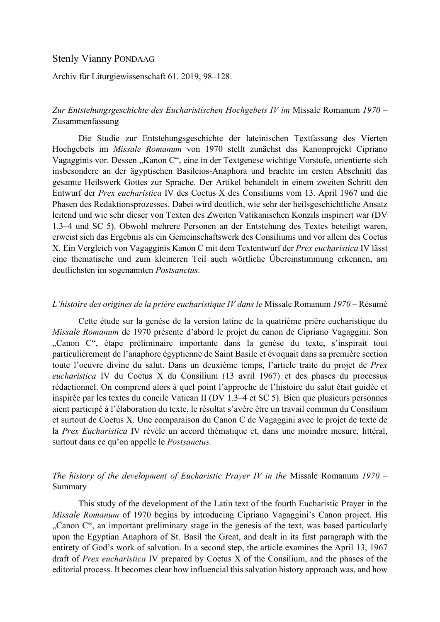## Stenly Vianny PONDAAG

Archiv für Liturgiewissenschaft 61. 2019, 98–128.

## *Zur Entstehungsgeschichte des Eucharistischen Hochgebets IV im* Missale Romanum *1970* – Zusammenfassung

Die Studie zur Entstehungsgeschichte der lateinischen Textfassung des Vierten Hochgebets im *Missale Romanum* von 1970 stellt zunächst das Kanonprojekt Cipriano Vagagginis vor. Dessen "Kanon C", eine in der Textgenese wichtige Vorstufe, orientierte sich insbesondere an der ägyptischen Basileios-Anaphora und brachte im ersten Abschnitt das gesamte Heilswerk Gottes zur Sprache. Der Artikel behandelt in einem zweiten Schritt den Entwurf der *Prex eucharistica* IV des Coetus X des Consiliums vom 13. April 1967 und die Phasen des Redaktionsprozesses. Dabei wird deutlich, wie sehr der heilsgeschichtliche Ansatz leitend und wie sehr dieser von Texten des Zweiten Vatikanischen Konzils inspiriert war (DV 1.3–4 und SC 5). Obwohl mehrere Personen an der Entstehung des Textes beteiligt waren, erweist sich das Ergebnis als ein Gemeinschaftswerk des Consiliums und vor allem des Coetus X. Ein Vergleich von Vagagginis Kanon C mit dem Textentwurf der *Prex eucharistica* IV lässt eine thematische und zum kleineren Teil auch wörtliche Übereinstimmung erkennen, am deutlichsten im sogenannten *Postsanctus*.

## *L'histoire des origines de la prière eucharistique IV dans le* Missale Romanum *1970* – Résumé

Cette étude sur la genèse de la version latine de la quatrième prière eucharistique du *Missale Romanum* de 1970 présente d'abord le projet du canon de Cipriano Vagaggini. Son "Canon C", étape préliminaire importante dans la genèse du texte, s'inspirait tout particulièrement de l'anaphore égyptienne de Saint Basile et évoquait dans sa première section toute l'oeuvre divine du salut. Dans un deuxième temps, l'article traite du projet de *Prex eucharistica* IV du Coetus X du Consilium (13 avril 1967) et des phases du processus rédactionnel. On comprend alors à quel point l'approche de l'histoire du salut était guidée et inspirée par les textes du concile Vatican II (DV 1.3–4 et SC 5). Bien que plusieurs personnes aient participé à l'élaboration du texte, le résultat s'avère être un travail commun du Consilium et surtout de Coetus X. Une comparaison du Canon C de Vagaggini avec le projet de texte de la *Prex Eucharistica* IV révèle un accord thématique et, dans une moindre mesure, littéral, surtout dans ce qu'on appelle le *Postsanctus.*

## *The history of the development of Eucharistic Prayer IV in the* Missale Romanum *1970* – Summary

This study of the development of the Latin text of the fourth Eucharistic Prayer in the *Missale Romanum* of 1970 begins by introducing Cipriano Vagaggini's Canon project. His "Canon C", an important preliminary stage in the genesis of the text, was based particularly upon the Egyptian Anaphora of St. Basil the Great, and dealt in its first paragraph with the entirety of God's work of salvation. In a second step, the article examines the April 13, 1967 draft of *Prex eucharistica* IV prepared by Coetus X of the Consilium, and the phases of the editorial process. It becomes clear how influencial this salvation history approach was, and how